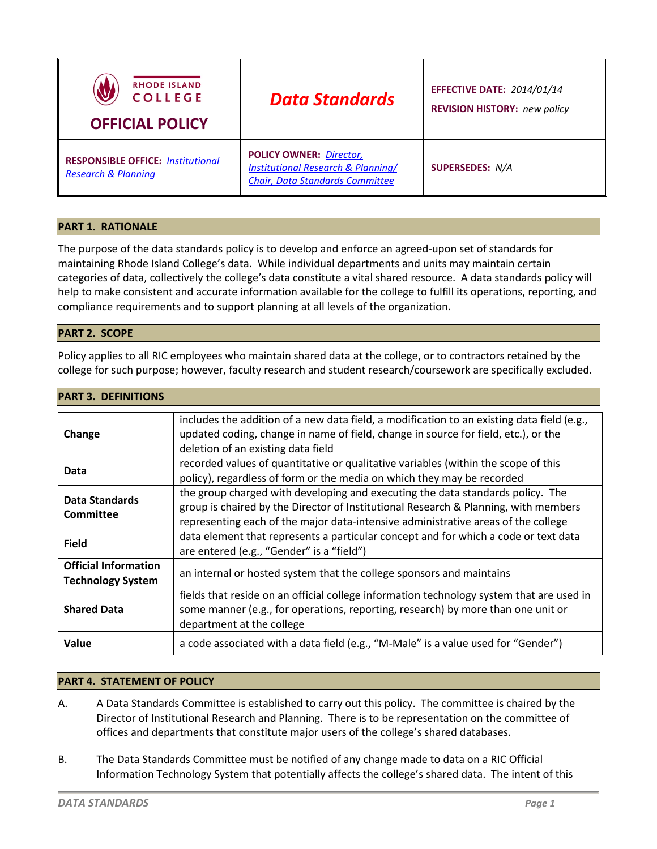| <b>RHODE ISLAND</b><br><b>COLLEGE</b><br><b>OFFICIAL POLICY</b>            | <b>Data Standards</b>                                                                                                     | <b>EFFECTIVE DATE: 2014/01/14</b><br><b>REVISION HISTORY: new policy</b> |
|----------------------------------------------------------------------------|---------------------------------------------------------------------------------------------------------------------------|--------------------------------------------------------------------------|
| <b>RESPONSIBLE OFFICE: Institutional</b><br><b>Research &amp; Planning</b> | <b>POLICY OWNER: Director,</b><br><b>Institutional Research &amp; Planning/</b><br><b>Chair, Data Standards Committee</b> | <b>SUPERSEDES: N/A</b>                                                   |

# **PART 1. RATIONALE**

The purpose of the data standards policy is to develop and enforce an agreed-upon set of standards for maintaining Rhode Island College's data. While individual departments and units may maintain certain categories of data, collectively the college's data constitute a vital shared resource. A data standards policy will help to make consistent and accurate information available for the college to fulfill its operations, reporting, and compliance requirements and to support planning at all levels of the organization.

# **PART 2. SCOPE**

**PART 3. DEFINITIONS**

Policy applies to all RIC employees who maintain shared data at the college, or to contractors retained by the college for such purpose; however, faculty research and student research/coursework are specifically excluded.

| Change                                                  | includes the addition of a new data field, a modification to an existing data field (e.g.,<br>updated coding, change in name of field, change in source for field, etc.), or the<br>deletion of an existing data field                                     |  |
|---------------------------------------------------------|------------------------------------------------------------------------------------------------------------------------------------------------------------------------------------------------------------------------------------------------------------|--|
| Data                                                    | recorded values of quantitative or qualitative variables (within the scope of this<br>policy), regardless of form or the media on which they may be recorded                                                                                               |  |
| Data Standards<br><b>Committee</b>                      | the group charged with developing and executing the data standards policy. The<br>group is chaired by the Director of Institutional Research & Planning, with members<br>representing each of the major data-intensive administrative areas of the college |  |
| <b>Field</b>                                            | data element that represents a particular concept and for which a code or text data<br>are entered (e.g., "Gender" is a "field")                                                                                                                           |  |
| <b>Official Information</b><br><b>Technology System</b> | an internal or hosted system that the college sponsors and maintains                                                                                                                                                                                       |  |
| <b>Shared Data</b>                                      | fields that reside on an official college information technology system that are used in<br>some manner (e.g., for operations, reporting, research) by more than one unit or<br>department at the college                                                  |  |
| Value                                                   | a code associated with a data field (e.g., "M-Male" is a value used for "Gender")                                                                                                                                                                          |  |

# **PART 4. STATEMENT OF POLICY**

- A. A Data Standards Committee is established to carry out this policy. The committee is chaired by the Director of Institutional Research and Planning. There is to be representation on the committee of offices and departments that constitute major users of the college's shared databases.
- B. The Data Standards Committee must be notified of any change made to data on a RIC Official Information Technology System that potentially affects the college's shared data. The intent of this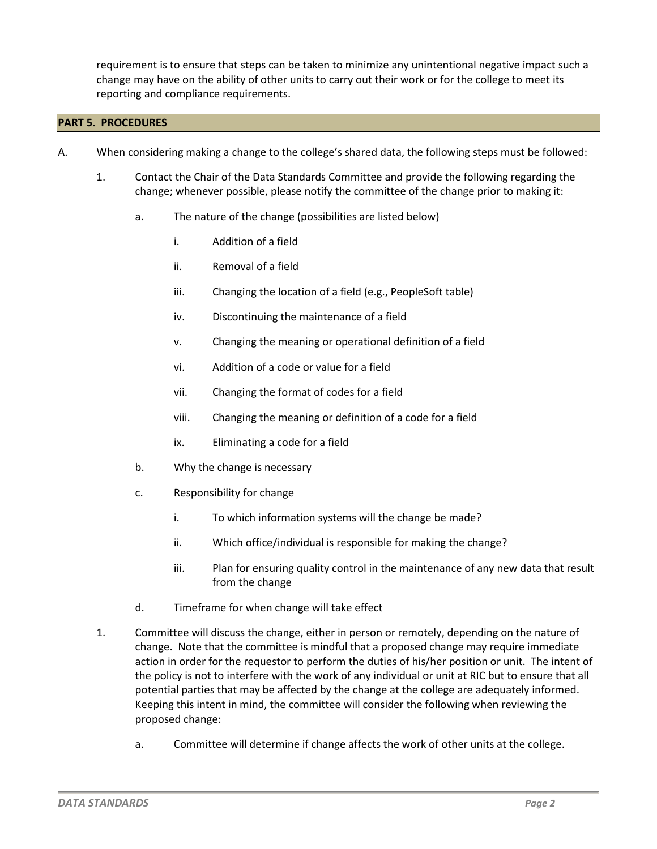requirement is to ensure that steps can be taken to minimize any unintentional negative impact such a change may have on the ability of other units to carry out their work or for the college to meet its reporting and compliance requirements.

# **PART 5. PROCEDURES**

- A. When considering making a change to the college's shared data, the following steps must be followed:
	- 1. Contact the Chair of the Data Standards Committee and provide the following regarding the change; whenever possible, please notify the committee of the change prior to making it:
		- a. The nature of the change (possibilities are listed below)
			- i. Addition of a field
			- ii. Removal of a field
			- iii. Changing the location of a field (e.g., PeopleSoft table)
			- iv. Discontinuing the maintenance of a field
			- v. Changing the meaning or operational definition of a field
			- vi. Addition of a code or value for a field
			- vii. Changing the format of codes for a field
			- viii. Changing the meaning or definition of a code for a field
			- ix. Eliminating a code for a field
		- b. Why the change is necessary
		- c. Responsibility for change
			- i. To which information systems will the change be made?
			- ii. Which office/individual is responsible for making the change?
			- iii. Plan for ensuring quality control in the maintenance of any new data that result from the change
		- d. Timeframe for when change will take effect
	- 1. Committee will discuss the change, either in person or remotely, depending on the nature of change. Note that the committee is mindful that a proposed change may require immediate action in order for the requestor to perform the duties of his/her position or unit. The intent of the policy is not to interfere with the work of any individual or unit at RIC but to ensure that all potential parties that may be affected by the change at the college are adequately informed. Keeping this intent in mind, the committee will consider the following when reviewing the proposed change:
		- a. Committee will determine if change affects the work of other units at the college.